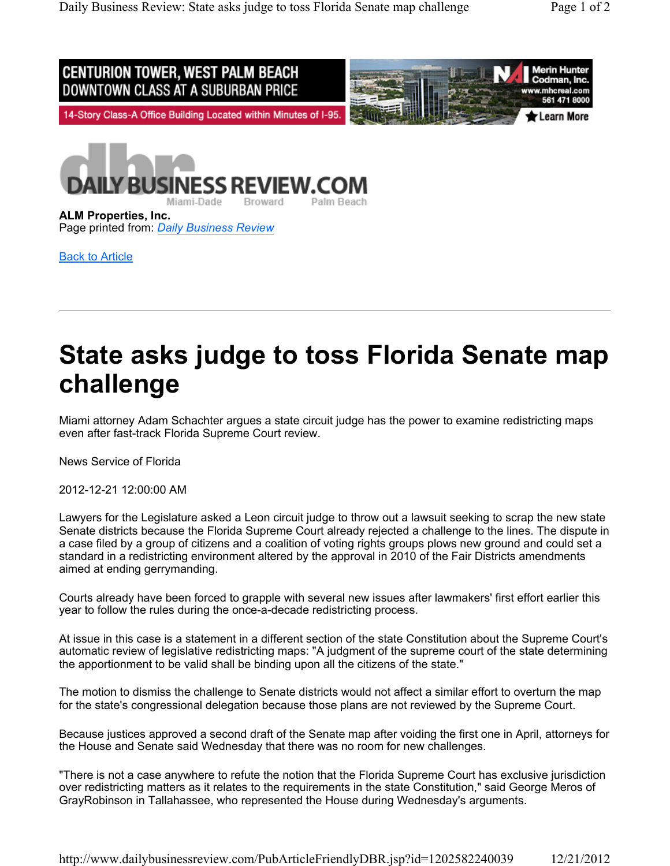

**ALM Properties, Inc.** Page printed from: *Daily Business Review*

Back to Article

## **State asks judge to toss Florida Senate map challenge**

Miami attorney Adam Schachter argues a state circuit judge has the power to examine redistricting maps even after fast-track Florida Supreme Court review.

News Service of Florida

2012-12-21 12:00:00 AM

Lawyers for the Legislature asked a Leon circuit judge to throw out a lawsuit seeking to scrap the new state Senate districts because the Florida Supreme Court already rejected a challenge to the lines. The dispute in a case filed by a group of citizens and a coalition of voting rights groups plows new ground and could set a standard in a redistricting environment altered by the approval in 2010 of the Fair Districts amendments aimed at ending gerrymanding.

Courts already have been forced to grapple with several new issues after lawmakers' first effort earlier this year to follow the rules during the once-a-decade redistricting process.

At issue in this case is a statement in a different section of the state Constitution about the Supreme Court's automatic review of legislative redistricting maps: "A judgment of the supreme court of the state determining the apportionment to be valid shall be binding upon all the citizens of the state."

The motion to dismiss the challenge to Senate districts would not affect a similar effort to overturn the map for the state's congressional delegation because those plans are not reviewed by the Supreme Court.

Because justices approved a second draft of the Senate map after voiding the first one in April, attorneys for the House and Senate said Wednesday that there was no room for new challenges.

"There is not a case anywhere to refute the notion that the Florida Supreme Court has exclusive jurisdiction over redistricting matters as it relates to the requirements in the state Constitution," said George Meros of GrayRobinson in Tallahassee, who represented the House during Wednesday's arguments.